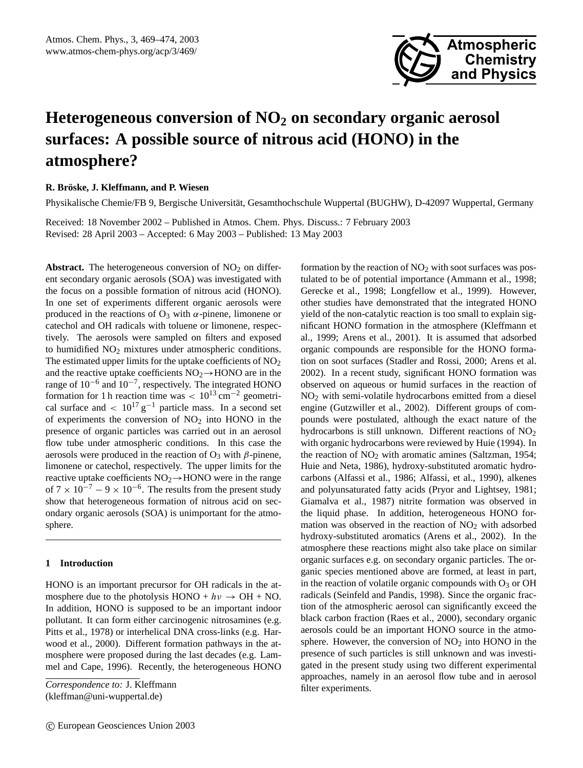

# **Heterogeneous conversion of NO<sup>2</sup> on secondary organic aerosol surfaces: A possible source of nitrous acid (HONO) in the atmosphere?**

# **R. Broske, J. Kleffmann, and P. Wiesen ¨**

Physikalische Chemie/FB 9, Bergische Universitat, Gesamthochschule Wuppertal (BUGHW), D-42097 Wuppertal, Germany ¨

Received: 18 November 2002 – Published in Atmos. Chem. Phys. Discuss.: 7 February 2003 Revised: 28 April 2003 – Accepted: 6 May 2003 – Published: 13 May 2003

**Abstract.** The heterogeneous conversion of  $NO<sub>2</sub>$  on different secondary organic aerosols (SOA) was investigated with the focus on a possible formation of nitrous acid (HONO). In one set of experiments different organic aerosols were produced in the reactions of  $O_3$  with  $\alpha$ -pinene, limonene or catechol and OH radicals with toluene or limonene, respectively. The aerosols were sampled on filters and exposed to humidified NO<sub>2</sub> mixtures under atmospheric conditions. The estimated upper limits for the uptake coefficients of  $NO<sub>2</sub>$ and the reactive uptake coefficients  $NO<sub>2</sub> \rightarrow HONO$  are in the range of  $10^{-6}$  and  $10^{-7}$ , respectively. The integrated HONO formation for 1 h reaction time was  $< 10^{13}$  cm<sup>-2</sup> geometrical surface and  $\langle 10^{17} g^{-1} \rangle$  particle mass. In a second set of experiments the conversion of  $NO<sub>2</sub>$  into HONO in the presence of organic particles was carried out in an aerosol flow tube under atmospheric conditions. In this case the aerosols were produced in the reaction of  $O_3$  with  $\beta$ -pinene, limonene or catechol, respectively. The upper limits for the reactive uptake coefficients  $NO<sub>2</sub> \rightarrow HONO$  were in the range of  $7 \times 10^{-7} - 9 \times 10^{-6}$ . The results from the present study show that heterogeneous formation of nitrous acid on secondary organic aerosols (SOA) is unimportant for the atmosphere.

# **1 Introduction**

HONO is an important precursor for OH radicals in the atmosphere due to the photolysis HONO +  $hv \rightarrow OH + NO$ . In addition, HONO is supposed to be an important indoor pollutant. It can form either carcinogenic nitrosamines (e.g. Pitts et al., 1978) or interhelical DNA cross-links (e.g. Harwood et al., 2000). Different formation pathways in the atmosphere were proposed during the last decades (e.g. Lammel and Cape, 1996). Recently, the heterogeneous HONO

formation by the reaction of  $NO<sub>2</sub>$  with soot surfaces was postulated to be of potential importance (Ammann et al., 1998; Gerecke et al., 1998; Longfellow et al., 1999). However, other studies have demonstrated that the integrated HONO yield of the non-catalytic reaction is too small to explain significant HONO formation in the atmosphere (Kleffmann et al., 1999; Arens et al., 2001). It is assumed that adsorbed organic compounds are responsible for the HONO formation on soot surfaces (Stadler and Rossi, 2000; Arens et al. 2002). In a recent study, significant HONO formation was observed on aqueous or humid surfaces in the reaction of NO<sup>2</sup> with semi-volatile hydrocarbons emitted from a diesel engine (Gutzwiller et al., 2002). Different groups of compounds were postulated, although the exact nature of the hydrocarbons is still unknown. Different reactions of NO<sub>2</sub> with organic hydrocarbons were reviewed by Huie (1994). In the reaction of  $NO<sub>2</sub>$  with aromatic amines (Saltzman, 1954; Huie and Neta, 1986), hydroxy-substituted aromatic hydrocarbons (Alfassi et al., 1986; Alfassi, et al., 1990), alkenes and polyunsaturated fatty acids (Pryor and Lightsey, 1981; Giamalva et al., 1987) nitrite formation was observed in the liquid phase. In addition, heterogeneous HONO formation was observed in the reaction of  $NO<sub>2</sub>$  with adsorbed hydroxy-substituted aromatics (Arens et al., 2002). In the atmosphere these reactions might also take place on similar organic surfaces e.g. on secondary organic particles. The organic species mentioned above are formed, at least in part, in the reaction of volatile organic compounds with  $O_3$  or OH radicals (Seinfeld and Pandis, 1998). Since the organic fraction of the atmospheric aerosol can significantly exceed the black carbon fraction (Raes et al., 2000), secondary organic aerosols could be an important HONO source in the atmosphere. However, the conversion of  $NO<sub>2</sub>$  into HONO in the presence of such particles is still unknown and was investigated in the present study using two different experimental approaches, namely in an aerosol flow tube and in aerosol filter experiments.

*Correspondence to:* J. Kleffmann (kleffman@uni-wuppertal.de)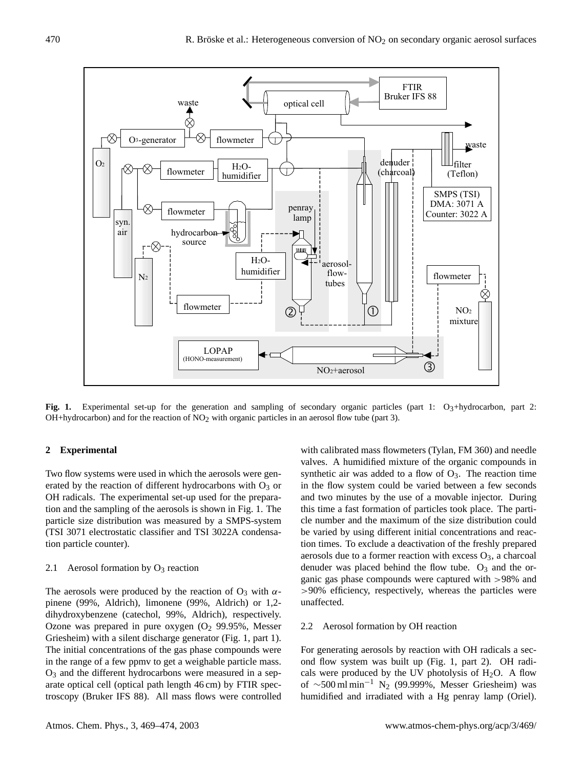

**Fig. 1.** Experimental set-up for the generation and sampling of secondary organic particles (part 1: O<sub>3</sub>+hydrocarbon, part 2: OH+hydrocarbon) and for the reaction of  $NO<sub>2</sub>$  with organic particles in an aerosol flow tube (part 3).

# **2 Experimental**

Two flow systems were used in which the aerosols were generated by the reaction of different hydrocarbons with  $O_3$  or OH radicals. The experimental set-up used for the preparation and the sampling of the aerosols is shown in Fig. 1. The particle size distribution was measured by a SMPS-system (TSI 3071 electrostatic classifier and TSI 3022A condensation particle counter).

#### 2.1 Aerosol formation by  $O_3$  reaction

The aerosols were produced by the reaction of  $O_3$  with  $\alpha$ pinene (99%, Aldrich), limonene (99%, Aldrich) or 1,2 dihydroxybenzene (catechol, 99%, Aldrich), respectively. Ozone was prepared in pure oxygen  $(O_2 99.95\%$ , Messer Griesheim) with a silent discharge generator (Fig. 1, part 1). The initial concentrations of the gas phase compounds were in the range of a few ppmv to get a weighable particle mass.  $O<sub>3</sub>$  and the different hydrocarbons were measured in a separate optical cell (optical path length 46 cm) by FTIR spectroscopy (Bruker IFS 88). All mass flows were controlled

with calibrated mass flowmeters (Tylan, FM 360) and needle valves. A humidified mixture of the organic compounds in synthetic air was added to a flow of  $O_3$ . The reaction time in the flow system could be varied between a few seconds and two minutes by the use of a movable injector. During this time a fast formation of particles took place. The particle number and the maximum of the size distribution could be varied by using different initial concentrations and reaction times. To exclude a deactivation of the freshly prepared aerosols due to a former reaction with excess  $O_3$ , a charcoal denuder was placed behind the flow tube.  $O_3$  and the organic gas phase compounds were captured with >98% and >90% efficiency, respectively, whereas the particles were unaffected.

# 2.2 Aerosol formation by OH reaction

For generating aerosols by reaction with OH radicals a second flow system was built up (Fig. 1, part 2). OH radicals were produced by the UV photolysis of  $H_2O$ . A flow of  $\sim$ 500 ml min<sup>-1</sup> N<sub>2</sub> (99.999%, Messer Griesheim) was humidified and irradiated with a Hg penray lamp (Oriel).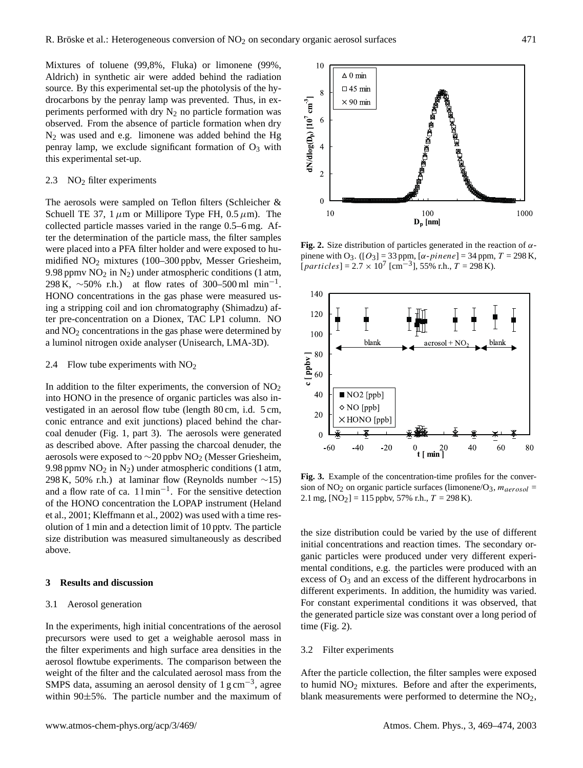Mixtures of toluene (99,8%, Fluka) or limonene (99%, Aldrich) in synthetic air were added behind the radiation source. By this experimental set-up the photolysis of the hydrocarbons by the penray lamp was prevented. Thus, in experiments performed with dry  $N_2$  no particle formation was observed. From the absence of particle formation when dry N<sup>2</sup> was used and e.g. limonene was added behind the Hg penray lamp, we exclude significant formation of  $O_3$  with this experimental set-up.

# 2.3 NO<sub>2</sub> filter experiments

The aerosols were sampled on Teflon filters (Schleicher & Schuell TE 37, 1  $\mu$ m or Millipore Type FH, 0.5  $\mu$ m). The collected particle masses varied in the range 0.5–6 mg. After the determination of the particle mass, the filter samples were placed into a PFA filter holder and were exposed to humidified NO<sup>2</sup> mixtures (100–300 ppbv, Messer Griesheim, 9.98 ppmv  $NO<sub>2</sub>$  in  $N<sub>2</sub>$ ) under atmospheric conditions (1 atm, 298 K,  $\sim$ 50% r.h.) at flow rates of 300–500 ml min<sup>-1</sup>. HONO concentrations in the gas phase were measured using a stripping coil and ion chromatography (Shimadzu) after pre-concentration on a Dionex, TAC LP1 column. NO and NO<sup>2</sup> concentrations in the gas phase were determined by a luminol nitrogen oxide analyser (Unisearch, LMA-3D).

### 2.4 Flow tube experiments with  $NO<sub>2</sub>$

In addition to the filter experiments, the conversion of  $NO<sub>2</sub>$ into HONO in the presence of organic particles was also investigated in an aerosol flow tube (length 80 cm, i.d. 5 cm, conic entrance and exit junctions) placed behind the charcoal denuder (Fig. 1, part 3). The aerosols were generated as described above. After passing the charcoal denuder, the aerosols were exposed to  $\sim$ 20 ppbv NO<sub>2</sub> (Messer Griesheim, 9.98 ppmv  $NO<sub>2</sub>$  in  $N<sub>2</sub>$ ) under atmospheric conditions (1 atm, 298 K, 50% r.h.) at laminar flow (Reynolds number  $\sim$ 15) and a flow rate of ca. 1 l min−<sup>1</sup> . For the sensitive detection of the HONO concentration the LOPAP instrument (Heland et al., 2001; Kleffmann et al., 2002) was used with a time resolution of 1 min and a detection limit of 10 pptv. The particle size distribution was measured simultaneously as described above.

## **3 Results and discussion**

## 3.1 Aerosol generation

In the experiments, high initial concentrations of the aerosol precursors were used to get a weighable aerosol mass in the filter experiments and high surface area densities in the aerosol flowtube experiments. The comparison between the weight of the filter and the calculated aerosol mass from the SMPS data, assuming an aerosol density of  $1 \text{ g cm}^{-3}$ , agree within 90±5%. The particle number and the maximum of



**Fig. 2.** Size distribution of particles generated in the reaction of  $\alpha$ pinene with O<sub>3</sub>. ([O<sub>3</sub>] = 33 ppm, [ $\alpha$ -pinene] = 34 ppm, T = 298 K,  $[particles] = 2.7 \times 10^7$  [cm<sup>-3</sup>], 55% r.h., T = 298 K).



**Fig. 3.** Example of the concentration-time profiles for the conversion of NO<sub>2</sub> on organic particle surfaces (limonene/O<sub>3</sub>,  $m_{aerosol}$  = 2.1 mg,  $[NO<sub>2</sub>] = 115$  ppbv, 57% r.h.,  $T = 298$  K).

the size distribution could be varied by the use of different initial concentrations and reaction times. The secondary organic particles were produced under very different experimental conditions, e.g. the particles were produced with an excess of  $O_3$  and an excess of the different hydrocarbons in different experiments. In addition, the humidity was varied. For constant experimental conditions it was observed, that the generated particle size was constant over a long period of time (Fig. 2).

## 3.2 Filter experiments

After the particle collection, the filter samples were exposed to humid  $NO<sub>2</sub>$  mixtures. Before and after the experiments, blank measurements were performed to determine the  $NO<sub>2</sub>$ ,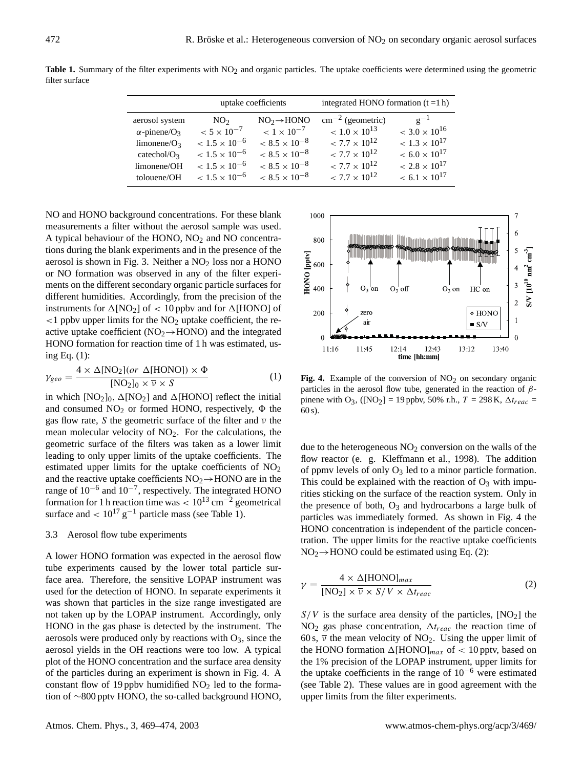|                                 | uptake coefficients    |                        | integrated HONO formation $(t = 1 h)$ |                                   |
|---------------------------------|------------------------|------------------------|---------------------------------------|-----------------------------------|
| aerosol system                  | NO <sub>2</sub>        | $NO2 \rightarrow HONO$ | $\text{cm}^{-2}$ (geometric)          | $g^{-1}$                          |
| $\alpha$ -pinene/O <sub>3</sub> | $< 5 \times 10^{-7}$   | $< 1 \times 10^{-7}$   | $< 1.0 \times 10^{13}$                | $<$ 3.0 $\times$ 10 <sup>16</sup> |
| limonene/ $O_3$                 | $< 1.5 \times 10^{-6}$ | $< 8.5 \times 10^{-8}$ | $< 7.7 \times 10^{12}$                | $< 1.3 \times 10^{17}$            |
| catechol/ $O_3$                 | $< 1.5 \times 10^{-6}$ | $< 8.5 \times 10^{-8}$ | $< 7.7 \times 10^{12}$                | $< 6.0 \times 10^{17}$            |
| limonene/OH                     | $< 1.5 \times 10^{-6}$ | $< 8.5 \times 10^{-8}$ | $< 7.7 \times 10^{12}$                | $< 2.8 \times 10^{17}$            |
| tolouene/OH                     | $< 1.5 \times 10^{-6}$ | $< 8.5 \times 10^{-8}$ | $< 7.7 \times 10^{12}$                | $< 6.1 \times 10^{17}$            |

Table 1. Summary of the filter experiments with NO<sub>2</sub> and organic particles. The uptake coefficients were determined using the geometric filter surface

NO and HONO background concentrations. For these blank measurements a filter without the aerosol sample was used. A typical behaviour of the HONO,  $NO<sub>2</sub>$  and NO concentrations during the blank experiments and in the presence of the aerosol is shown in Fig. 3. Neither a  $NO<sub>2</sub>$  loss nor a HONO or NO formation was observed in any of the filter experiments on the different secondary organic particle surfaces for different humidities. Accordingly, from the precision of the instruments for  $\Delta[NO_2]$  of < 10 ppbv and for  $\Delta[HONO]$  of  $\langle$ 1 ppbv upper limits for the NO<sub>2</sub> uptake coefficient, the reactive uptake coefficient ( $NO<sub>2</sub> \rightarrow HONO$ ) and the integrated HONO formation for reaction time of 1 h was estimated, using Eq. (1):

$$
\gamma_{geo} = \frac{4 \times \Delta[\text{NO}_2](or \Delta[\text{HONO}]) \times \Phi}{[\text{NO}_2]_0 \times \overline{v} \times S}
$$
(1)

in which  $[NO<sub>2</sub>]_0$ ,  $\Delta[NO<sub>2</sub>]$  and  $\Delta[HONO]$  reflect the initial and consumed  $NO<sub>2</sub>$  or formed HONO, respectively,  $\Phi$  the gas flow rate, S the geometric surface of the filter and  $\bar{v}$  the mean molecular velocity of  $NO<sub>2</sub>$ . For the calculations, the geometric surface of the filters was taken as a lower limit leading to only upper limits of the uptake coefficients. The estimated upper limits for the uptake coefficients of  $NO<sub>2</sub>$ and the reactive uptake coefficients  $NO<sub>2</sub> \rightarrow HONO$  are in the range of 10−<sup>6</sup> and 10−<sup>7</sup> , respectively. The integrated HONO formation for 1 h reaction time was  $< 10^{13}$  cm<sup>-2</sup> geometrical surface and <  $10^{17}$  g<sup>-1</sup> particle mass (see Table 1).

#### 3.3 Aerosol flow tube experiments

A lower HONO formation was expected in the aerosol flow tube experiments caused by the lower total particle surface area. Therefore, the sensitive LOPAP instrument was used for the detection of HONO. In separate experiments it was shown that particles in the size range investigated are not taken up by the LOPAP instrument. Accordingly, only HONO in the gas phase is detected by the instrument. The aerosols were produced only by reactions with  $O_3$ , since the aerosol yields in the OH reactions were too low. A typical plot of the HONO concentration and the surface area density of the particles during an experiment is shown in Fig. 4. A constant flow of 19 ppbv humidified  $NO<sub>2</sub>$  led to the formation of ∼800 pptv HONO, the so-called background HONO,



**Fig. 4.** Example of the conversion of  $NO<sub>2</sub>$  on secondary organic particles in the aerosol flow tube, generated in the reaction of  $\beta$ pinene with O<sub>3</sub>, ([NO<sub>2</sub>] = 19 ppbv, 50% r.h.,  $T = 298$  K,  $\Delta t_{reac}$  = 60 s).

due to the heterogeneous  $NO<sub>2</sub>$  conversion on the walls of the flow reactor (e. g. Kleffmann et al., 1998). The addition of ppmv levels of only  $O_3$  led to a minor particle formation. This could be explained with the reaction of  $O_3$  with impurities sticking on the surface of the reaction system. Only in the presence of both,  $O_3$  and hydrocarbons a large bulk of particles was immediately formed. As shown in Fig. 4 the HONO concentration is independent of the particle concentration. The upper limits for the reactive uptake coefficients  $NO<sub>2</sub>\rightarrow HONO$  could be estimated using Eq. (2):

$$
\gamma = \frac{4 \times \Delta[\text{HONO}]_{max}}{[\text{NO}_2] \times \overline{v} \times S/V \times \Delta t_{reac}} \tag{2}
$$

 $S/V$  is the surface area density of the particles,  $[NO<sub>2</sub>]$  the NO<sub>2</sub> gas phase concentration,  $\Delta t_{reac}$  the reaction time of 60 s,  $\overline{v}$  the mean velocity of NO<sub>2</sub>. Using the upper limit of the HONO formation  $\Delta$ [HONO]<sub>max</sub> of < 10 pptv, based on the 1% precision of the LOPAP instrument, upper limits for the uptake coefficients in the range of  $10^{-6}$  were estimated (see Table 2). These values are in good agreement with the upper limits from the filter experiments.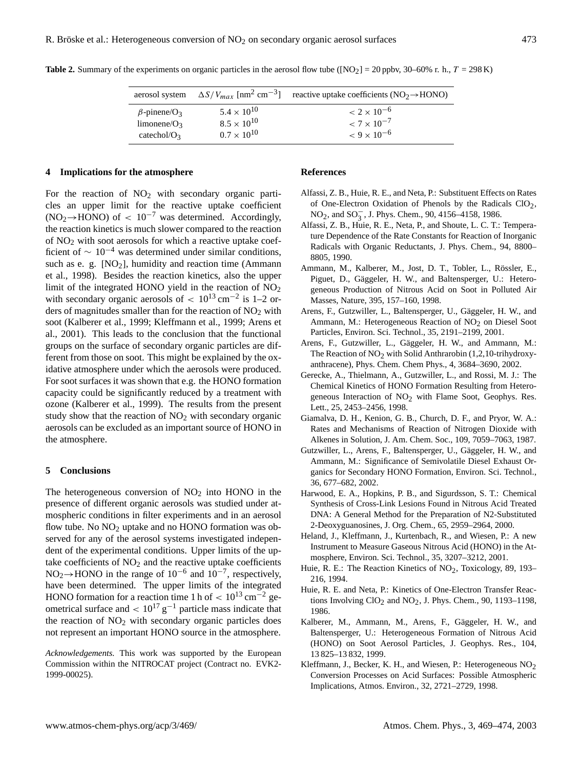|                                |                      | aerosol system $\Delta S/V_{max}$ [nm <sup>2</sup> cm <sup>-3</sup> ] reactive uptake coefficients (NO <sub>2</sub> $\rightarrow$ HONO) |
|--------------------------------|----------------------|-----------------------------------------------------------------------------------------------------------------------------------------|
| $\beta$ -pinene/O <sub>3</sub> | $5.4 \times 10^{10}$ | $< 2 \times 10^{-6}$                                                                                                                    |
| limonene/ $O_3$                | $8.5 \times 10^{10}$ | $< 7 \times 10^{-7}$                                                                                                                    |
| catechol/ $O3$                 | $0.7 \times 10^{10}$ | $< 9 \times 10^{-6}$                                                                                                                    |

**Table 2.** Summary of the experiments on organic particles in the aerosol flow tube ( $[NO<sub>2</sub>] = 20$  ppbv,  $30-60%$  r. h.,  $T = 298$  K)

### **4 Implications for the atmosphere**

For the reaction of  $NO<sub>2</sub>$  with secondary organic particles an upper limit for the reactive uptake coefficient  $(NO<sub>2</sub> \rightarrow HONO)$  of  $< 10^{-7}$  was determined. Accordingly, the reaction kinetics is much slower compared to the reaction of NO<sup>2</sup> with soot aerosols for which a reactive uptake coefficient of  $\sim 10^{-4}$  was determined under similar conditions, such as e. g.  $[NO<sub>2</sub>]$ , humidity and reaction time (Ammann et al., 1998). Besides the reaction kinetics, also the upper limit of the integrated HONO yield in the reaction of  $NO<sub>2</sub>$ with secondary organic aerosols of  $< 10^{13}$  cm<sup>-2</sup> is 1-2 orders of magnitudes smaller than for the reaction of  $NO<sub>2</sub>$  with soot (Kalberer et al., 1999; Kleffmann et al., 1999; Arens et al., 2001). This leads to the conclusion that the functional groups on the surface of secondary organic particles are different from those on soot. This might be explained by the oxidative atmosphere under which the aerosols were produced. For soot surfaces it was shown that e.g. the HONO formation capacity could be significantly reduced by a treatment with ozone (Kalberer et al., 1999). The results from the present study show that the reaction of  $NO<sub>2</sub>$  with secondary organic aerosols can be excluded as an important source of HONO in the atmosphere.

#### **5 Conclusions**

The heterogeneous conversion of  $NO<sub>2</sub>$  into HONO in the presence of different organic aerosols was studied under atmospheric conditions in filter experiments and in an aerosol flow tube. No  $NO<sub>2</sub>$  uptake and no HONO formation was observed for any of the aerosol systems investigated independent of the experimental conditions. Upper limits of the uptake coefficients of  $NO<sub>2</sub>$  and the reactive uptake coefficients NO<sub>2</sub>→HONO in the range of  $10^{-6}$  and  $10^{-7}$ , respectively, have been determined. The upper limits of the integrated HONO formation for a reaction time 1 h of  $< 10^{13}$  cm<sup>-2</sup> geometrical surface and  $\langle 10^{17} g^{-1} \rangle$  particle mass indicate that the reaction of  $NO<sub>2</sub>$  with secondary organic particles does not represent an important HONO source in the atmosphere.

*Acknowledgements.* This work was supported by the European Commission within the NITROCAT project (Contract no. EVK2- 1999-00025).

#### **References**

- Alfassi, Z. B., Huie, R. E., and Neta, P.: Substituent Effects on Rates of One-Electron Oxidation of Phenols by the Radicals ClO2, NO<sub>2</sub>, and SO<sub>3</sub>, J. Phys. Chem., 90, 4156–4158, 1986.
- Alfassi, Z. B., Huie, R. E., Neta, P., and Shoute, L. C. T.: Temperature Dependence of the Rate Constants for Reaction of Inorganic Radicals with Organic Reductants, J. Phys. Chem., 94, 8800– 8805, 1990.
- Ammann, M., Kalberer, M., Jost, D. T., Tobler, L., Rössler, E., Piguet, D., Gäggeler, H. W., and Baltensperger, U.: Heterogeneous Production of Nitrous Acid on Soot in Polluted Air Masses, Nature, 395, 157–160, 1998.
- Arens, F., Gutzwiller, L., Baltensperger, U., Gäggeler, H. W., and Ammann, M.: Heterogeneous Reaction of  $NO<sub>2</sub>$  on Diesel Soot Particles, Environ. Sci. Technol., 35, 2191–2199, 2001.
- Arens, F., Gutzwiller, L., Gäggeler, H. W., and Ammann, M.: The Reaction of  $NO<sub>2</sub>$  with Solid Anthrarobin (1,2,10-trihydroxyanthracene), Phys. Chem. Chem Phys., 4, 3684–3690, 2002.
- Gerecke, A., Thielmann, A., Gutzwiller, L., and Rossi, M. J.: The Chemical Kinetics of HONO Formation Resulting from Heterogeneous Interaction of NO<sub>2</sub> with Flame Soot, Geophys. Res. Lett., 25, 2453–2456, 1998.
- Giamalva, D. H., Kenion, G. B., Church, D. F., and Pryor, W. A.: Rates and Mechanisms of Reaction of Nitrogen Dioxide with Alkenes in Solution, J. Am. Chem. Soc., 109, 7059–7063, 1987.
- Gutzwiller, L., Arens, F., Baltensperger, U., Gäggeler, H. W., and Ammann, M.: Significance of Semivolatile Diesel Exhaust Organics for Secondary HONO Formation, Environ. Sci. Technol., 36, 677–682, 2002.
- Harwood, E. A., Hopkins, P. B., and Sigurdsson, S. T.: Chemical Synthesis of Cross-Link Lesions Found in Nitrous Acid Treated DNA: A General Method for the Preparation of N2-Substituted 2-Deoxyguanosines, J. Org. Chem., 65, 2959–2964, 2000.
- Heland, J., Kleffmann, J., Kurtenbach, R., and Wiesen, P.: A new Instrument to Measure Gaseous Nitrous Acid (HONO) in the Atmosphere, Environ. Sci. Technol., 35, 3207–3212, 2001.
- Huie, R. E.: The Reaction Kinetics of NO<sub>2</sub>, Toxicology, 89, 193– 216, 1994.
- Huie, R. E. and Neta, P.: Kinetics of One-Electron Transfer Reactions Involving  $ClO<sub>2</sub>$  and  $NO<sub>2</sub>$ , J. Phys. Chem., 90, 1193–1198, 1986.
- Kalberer, M., Ammann, M., Arens, F., Gäggeler, H. W., and Baltensperger, U.: Heterogeneous Formation of Nitrous Acid (HONO) on Soot Aerosol Particles, J. Geophys. Res., 104, 13 825–13 832, 1999.
- Kleffmann, J., Becker, K. H., and Wiesen, P.: Heterogeneous NO<sub>2</sub> Conversion Processes on Acid Surfaces: Possible Atmospheric Implications, Atmos. Environ., 32, 2721–2729, 1998.